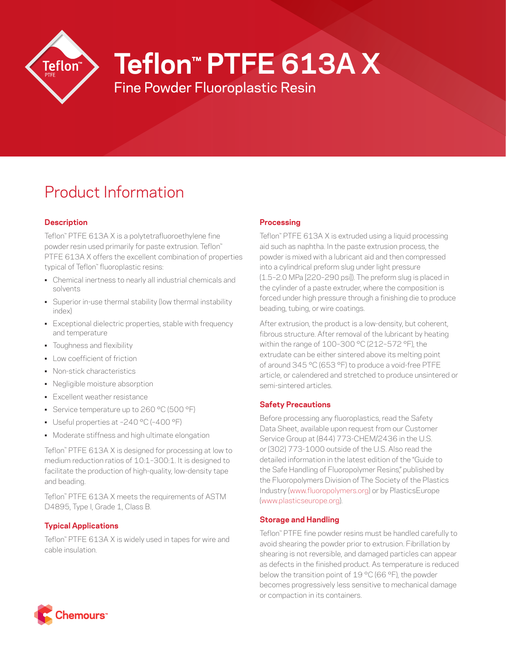

# **Teflon™ PTFE 613A X**

Fine Powder Fluoroplastic Resin

# Product Information

# **Description**

Teflon™ PTFE 613A X is a polytetrafluoroethylene fine powder resin used primarily for paste extrusion. Teflon™ PTFE 613A X offers the excellent combination of properties typical of Teflon™ fluoroplastic resins:

- Chemical inertness to nearly all industrial chemicals and solvents
- Superior in-use thermal stability (low thermal instability index)
- Exceptional dielectric properties, stable with frequency and temperature
- Toughness and flexibility
- Low coefficient of friction
- Non-stick characteristics
- Negligible moisture absorption
- Excellent weather resistance
- Service temperature up to 260 °C (500 °F)
- Useful properties at –240 °C (–400 °F)
- Moderate stiffness and high ultimate elongation

Teflon™ PTFE 613A X is designed for processing at low to medium reduction ratios of 10:1–300:1. It is designed to facilitate the production of high-quality, low-density tape and beading.

Teflon™ PTFE 613A X meets the requirements of ASTM D4895, Type I, Grade 1, Class B.

# **Typical Applications**

Teflon™ PTFE 613A X is widely used in tapes for wire and cable insulation.

#### **Processing**

Teflon™ PTFE 613A X is extruded using a liquid processing aid such as naphtha. In the paste extrusion process, the powder is mixed with a lubricant aid and then compressed into a cylindrical preform slug under light pressure (1.5–2.0 MPa [220–290 psi]). The preform slug is placed in the cylinder of a paste extruder, where the composition is forced under high pressure through a finishing die to produce beading, tubing, or wire coatings.

After extrusion, the product is a low-density, but coherent, fibrous structure. After removal of the lubricant by heating within the range of 100–300 °C (212–572 °F), the extrudate can be either sintered above its melting point of around 345 °C (653 °F) to produce a void-free PTFE article, or calendered and stretched to produce unsintered or semi-sintered articles.

# **Safety Precautions**

Before processing any fluoroplastics, read the Safety Data Sheet, available upon request from our Customer Service Group at (844) 773-CHEM/2436 in the U.S. or (302) 773-1000 outside of the U.S. Also read the detailed information in the latest edition of the "Guide to the Safe Handling of Fluoropolymer Resins," published by the Fluoropolymers Division of The Society of the Plastics Industry ([www.fluoropolymers.org](http://www.fluoropolymers.org)) or by PlasticsEurope [\(www.plasticseurope.org](http://www.plasticseurope.org)).

# **Storage and Handling**

Teflon™ PTFE fine powder resins must be handled carefully to avoid shearing the powder prior to extrusion. Fibrillation by shearing is not reversible, and damaged particles can appear as defects in the finished product. As temperature is reduced below the transition point of 19 °C (66 °F), the powder becomes progressively less sensitive to mechanical damage or compaction in its containers.